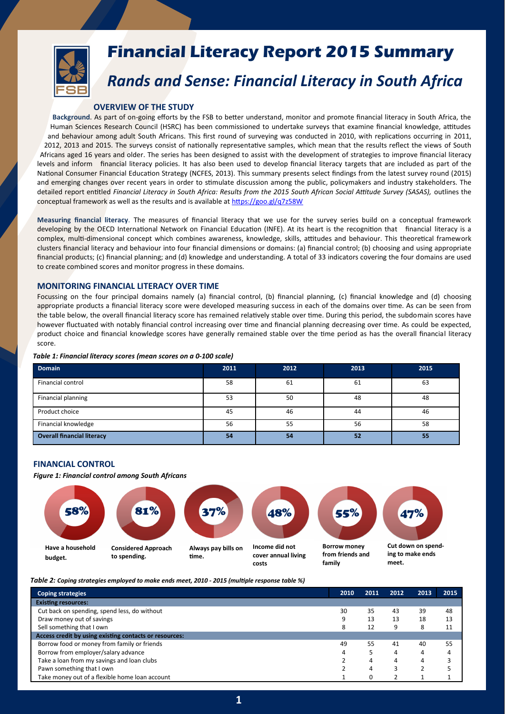

# **Financial Literacy Report 2015 Summary**

# *Rands and Sense: Financial Literacy in South Africa*

### **OVERVIEW OF THE STUDY**

**Background**. As part of on-going efforts by the FSB to better understand, monitor and promote financial literacy in South Africa, the Human Sciences Research Council (HSRC) has been commissioned to undertake surveys that examine financial knowledge, attitudes and behaviour among adult South Africans. This first round of surveying was conducted in 2010, with replications occurring in 2011, 2012, 2013 and 2015. The surveys consist of nationally representative samples, which mean that the results reflect the views of South Africans aged 16 years and older. The series has been designed to assist with the development of strategies to improve financial literacy levels and inform financial literacy policies. It has also been used to develop financial literacy targets that are included as part of the National Consumer Financial Education Strategy (NCFES, 2013). This summary presents select findings from the latest survey round (2015) and emerging changes over recent years in order to stimulate discussion among the public, policymakers and industry stakeholders. The detailed report entitled *Financial Literacy in South Africa: Results from the 2015 South African Social Attitude Survey (SASAS),* outlines the conceptual framework as well as the results and is available at<https://goo.gl/q7z58W>

**Measuring financial literacy**. The measures of financial literacy that we use for the survey series build on a conceptual framework developing by the OECD International Network on Financial Education (INFE). At its heart is the recognition that financial literacy is a complex, multi-dimensional concept which combines awareness, knowledge, skills, attitudes and behaviour. This theoretical framework clusters financial literacy and behaviour into four financial dimensions or domains: (a) financial control; (b) choosing and using appropriate financial products; (c) financial planning; and (d) knowledge and understanding. A total of 33 indicators covering the four domains are used to create combined scores and monitor progress in these domains.

# **MONITORING FINANCIAL LITERACY OVER TIME**

Focussing on the four principal domains namely (a) financial control, (b) financial planning, (c) financial knowledge and (d) choosing appropriate products a financial literacy score were developed measuring success in each of the domains over time. As can be seen from the table below, the overall financial literacy score has remained relatively stable over time. During this period, the subdomain scores have however fluctuated with notably financial control increasing over time and financial planning decreasing over time. As could be expected, product choice and financial knowledge scores have generally remained stable over the time period as has the overall financial literacy score.

| <b>Domain</b>                     | 2011 | 2012 | 2013 | 2015 |
|-----------------------------------|------|------|------|------|
| Financial control                 | 58   | 61   | 61   | 63   |
| Financial planning                | 53   | 50   | 48   | 48   |
| Product choice                    | 45   | 46   | 44   | 46   |
| Financial knowledge               | 56   | 55   | 56   | 58   |
| <b>Overall financial literacy</b> | 54   | 54   | 52   | 55   |

#### *Table 1: Financial literacy scores (mean scores on a 0-100 scale)*

#### **FINANCIAL CONTROL**

*Figure 1: Financial control among South Africans*



*Table 2: Coping strategies employed to make ends meet, 2010 - 2015 (multiple response table %)*

| <b>Coping strategies</b>                               | 2010 | 2011 | 2012 | 2013 | 2015 |
|--------------------------------------------------------|------|------|------|------|------|
| <b>Existing resources:</b>                             |      |      |      |      |      |
| Cut back on spending, spend less, do without           | 30   | 35   | 43   | 39   | 48   |
| Draw money out of savings                              | 9    | 13   | 13   | 18   | 13   |
| Sell something that I own                              | 8    | 12   | 9    | 8    | 11   |
| Access credit by using existing contacts or resources: |      |      |      |      |      |
| Borrow food or money from family or friends            | 49   | 55   | 41   | 40   | 55   |
| Borrow from employer/salary advance                    | 4    |      |      | 4    | 4    |
| Take a loan from my savings and loan clubs             |      | 4    |      | 4    |      |
| Pawn something that I own                              |      | 4    |      |      |      |
| Take money out of a flexible home loan account         |      |      |      |      |      |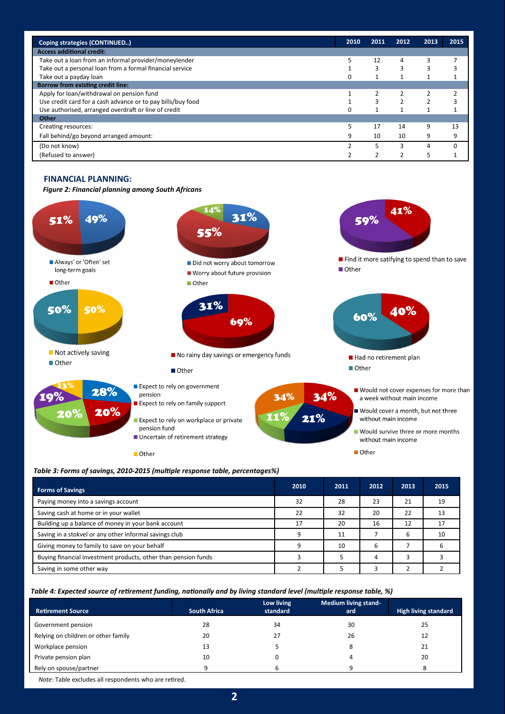| Coping strategies (CONTINUED)                               | 2010     | 2011 | 2012          | 2013 | 2015 |
|-------------------------------------------------------------|----------|------|---------------|------|------|
| <b>Access additional credit:</b>                            |          |      |               |      |      |
| Take out a loan from an informal provider/moneylender       |          | 12   | 4             | 3    |      |
| Take out a personal loan from a formal financial service    |          | 3    | 3             | 3    |      |
| Take out a payday loan                                      | $\Omega$ |      |               |      |      |
| <b>Borrow from existing credit line:</b>                    |          |      |               |      |      |
| Apply for loan/withdrawal on pension fund                   |          |      | 2             | 2    |      |
| Use credit card for a cash advance or to pay bills/buy food |          | 3    | $\mathcal{P}$ | 2    |      |
| Use authorised, arranged overdraft or line of credit        | $\Omega$ |      |               |      |      |
| Other                                                       |          |      |               |      |      |
| Creating resources:                                         | 5        | 17   | 14            | 9    | 13   |
| Fall behind/go beyond arranged amount:                      | 9        | 10   | 10            | 9    | 9    |
| (Do not know)                                               |          |      |               | 4    |      |
| (Refused to answer)                                         |          |      |               | 5    |      |

# **FINANCIAL PLANNING:**

*Figure 2: Financial planning among South Africans*



*Table 3: Forms of savings, 2010-2015 (multiple response table, percentages%)* 

| <b>Forms of Savings</b>                                        | 2010 | 2011 | 2012 | 2013 | 2015 |
|----------------------------------------------------------------|------|------|------|------|------|
| Paying money into a savings account                            | 32   | 28   | 23   | 21   | 19   |
| Saving cash at home or in your wallet                          | 22   | 32   | 20   | 22   |      |
| Building up a balance of money in your bank account            | 17   | 20   | 16   | 12   | 17   |
| Saving in a stokvel or any other informal savings club         | a    | 11   |      | 6    | 10   |
| Giving money to family to save on your behalf                  |      | 10   | 6    |      |      |
| Buying financial investment products, other than pension funds |      |      | 4    |      |      |
| Saving in some other way                                       |      |      |      |      |      |

*Table 4: Expected source of retirement funding, nationally and by living standard level (multiple response table, %)*

|                                     |                     | Low living | <b>Medium living stand-</b> |                             |
|-------------------------------------|---------------------|------------|-----------------------------|-----------------------------|
| <b>Retirement Source</b>            | <b>South Africa</b> | standard   | ard                         | <b>High living standard</b> |
| Government pension                  | 28                  | 34         | 30                          | 25                          |
| Relying on children or other family | 20                  | 27         | 26                          | 12                          |
| Workplace pension                   | 13                  |            |                             | 21                          |
| Private pension plan                | 10                  | 0          |                             | 20                          |
| Rely on spouse/partner              | q                   | b          | a                           |                             |

*Note*: Table excludes all respondents who are retired.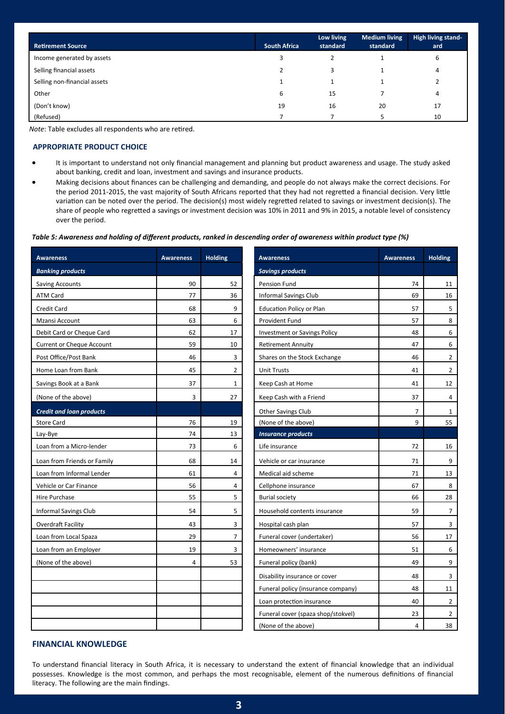| <b>Retirement Source</b>     | <b>South Africa</b> | Low living<br>standard | <b>Medium living</b><br>standard | High living stand-<br>ard |
|------------------------------|---------------------|------------------------|----------------------------------|---------------------------|
| Income generated by assets   |                     |                        |                                  | 6                         |
| Selling financial assets     |                     | 3                      |                                  | 4                         |
| Selling non-financial assets |                     |                        |                                  |                           |
| Other                        | 6                   | 15                     |                                  | 4                         |
| (Don't know)                 | 19                  | 16                     | 20                               | 17                        |
| (Refused)                    |                     |                        |                                  | 10                        |

*Note*: Table excludes all respondents who are retired.

### **APPROPRIATE PRODUCT CHOICE**

- It is important to understand not only financial management and planning but product awareness and usage. The study asked about banking, credit and loan, investment and savings and insurance products.
- Making decisions about finances can be challenging and demanding, and people do not always make the correct decisions. For the period 2011-2015, the vast majority of South Africans reported that they had not regretted a financial decision. Very little variation can be noted over the period. The decision(s) most widely regretted related to savings or investment decision(s). The share of people who regretted a savings or investment decision was 10% in 2011 and 9% in 2015, a notable level of consistency over the period.

#### *Table 5: Awareness and holding of different products, ranked in descending order of awareness within product type (%)*

| <b>Awareness</b>                 | <b>Awareness</b> | <b>Holding</b> | <b>Awareness</b>                    | <b>Awareness</b> | <b>Holding</b> |
|----------------------------------|------------------|----------------|-------------------------------------|------------------|----------------|
| <b>Banking products</b>          |                  |                | <b>Savings products</b>             |                  |                |
| <b>Saving Accounts</b>           | 90               | 52             | Pension Fund                        | 74               | 11             |
| <b>ATM Card</b>                  | 77               | 36             | <b>Informal Savings Club</b>        | 69               | 16             |
| Credit Card                      | 68               | 9              | <b>Education Policy or Plan</b>     | 57               | 5              |
| Mzansi Account                   | 63               | 6              | Provident Fund                      | 57               | 8              |
| Debit Card or Cheque Card        | 62               | 17             | <b>Investment or Savings Policy</b> | 48               | 6              |
| <b>Current or Cheque Account</b> | 59               | 10             | <b>Retirement Annuity</b>           | 47               | 6              |
| Post Office/Post Bank            | 46               | 3              | Shares on the Stock Exchange        | 46               | $\overline{2}$ |
| Home Loan from Bank              | 45               | 2              | <b>Unit Trusts</b>                  | 41               | $\overline{2}$ |
| Savings Book at a Bank           | 37               | $\mathbf{1}$   | Keep Cash at Home                   | 41               | 12             |
| (None of the above)              | 3                | 27             | Keep Cash with a Friend             | 37               | 4              |
| <b>Credit and loan products</b>  |                  |                | <b>Other Savings Club</b>           | $\overline{7}$   | 1              |
| <b>Store Card</b>                | 76               | 19             | (None of the above)                 | 9                | 55             |
| Lay-Bye                          | 74               | 13             | <b>Insurance products</b>           |                  |                |
| Loan from a Micro-lender         | 73               | 6              | Life insurance                      | 72               | 16             |
| Loan from Friends or Family      | 68               | 14             | Vehicle or car insurance            | 71               | 9              |
| Loan from Informal Lender        | 61               | 4              | Medical aid scheme                  | 71               | 13             |
| Vehicle or Car Finance           | 56               | 4              | Cellphone insurance                 | 67               | 8              |
| Hire Purchase                    | 55               | 5              | <b>Burial society</b>               | 66               | 28             |
| <b>Informal Savings Club</b>     | 54               | 5              | Household contents insurance        | 59               | $\overline{7}$ |
| Overdraft Facility               | 43               | 3              | Hospital cash plan                  | 57               | 3              |
| Loan from Local Spaza            | 29               | $\overline{7}$ | Funeral cover (undertaker)          | 56               | 17             |
| Loan from an Employer            | 19               | 3              | Homeowners' insurance               | 51               | 6              |
| (None of the above)              | 4                | 53             | Funeral policy (bank)               | 49               | 9              |
|                                  |                  |                | Disability insurance or cover       | 48               | 3              |
|                                  |                  |                | Funeral policy (insurance company)  | 48               | 11             |
|                                  |                  |                | Loan protection insurance           | 40               | $\overline{2}$ |
|                                  |                  |                | Funeral cover (spaza shop/stokvel)  | 23               | $\overline{2}$ |
|                                  |                  |                | (None of the above)                 | $\overline{4}$   | 38             |

## **FINANCIAL KNOWLEDGE**

To understand financial literacy in South Africa, it is necessary to understand the extent of financial knowledge that an individual possesses. Knowledge is the most common, and perhaps the most recognisable, element of the numerous definitions of financial literacy. The following are the main findings.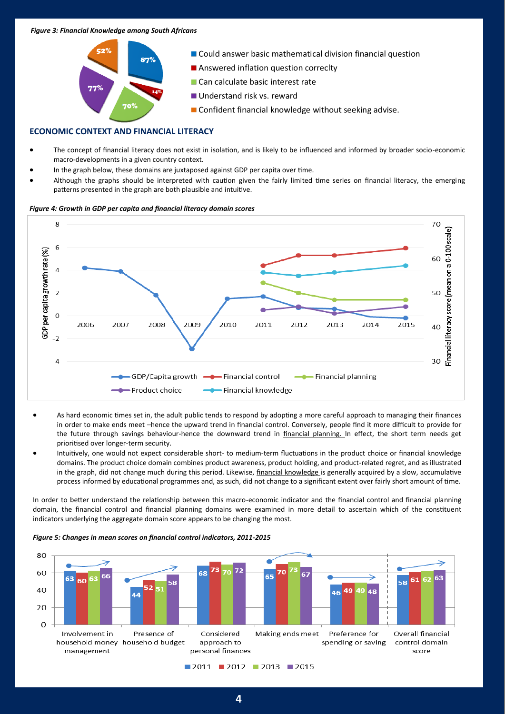#### *Figure 3: Financial Knowledge among South Africans*



## **ECONOMIC CONTEXT AND FINANCIAL LITERACY**

- The concept of financial literacy does not exist in isolation, and is likely to be influenced and informed by broader socio-economic macro-developments in a given country context.
- In the graph below, these domains are juxtaposed against GDP per capita over time.
- Although the graphs should be interpreted with caution given the fairly limited time series on financial literacy, the emerging patterns presented in the graph are both plausible and intuitive.

#### *Figure 4: Growth in GDP per capita and financial literacy domain scores*



- As hard economic times set in, the adult public tends to respond by adopting a more careful approach to managing their finances in order to make ends meet –hence the upward trend in financial control. Conversely, people find it more difficult to provide for the future through savings behaviour-hence the downward trend in financial planning. In effect, the short term needs get prioritised over longer-term security.
- Intuitively, one would not expect considerable short- to medium-term fluctuations in the product choice or financial knowledge domains. The product choice domain combines product awareness, product holding, and product-related regret, and as illustrated in the graph, did not change much during this period. Likewise, financial knowledge is generally acquired by a slow, accumulative process informed by educational programmes and, as such, did not change to a significant extent over fairly short amount of time.

In order to better understand the relationship between this macro-economic indicator and the financial control and financial planning domain, the financial control and financial planning domains were examined in more detail to ascertain which of the constituent indicators underlying the aggregate domain score appears to be changing the most.

*Figure 5: Changes in mean scores on financial control indicators, 2011-2015*

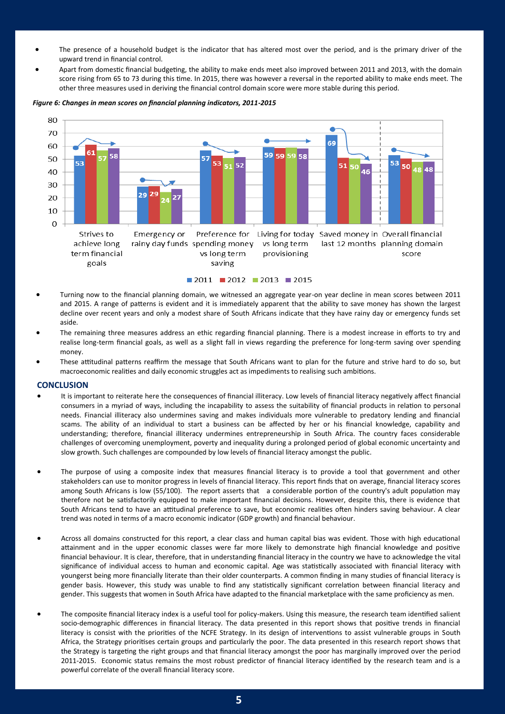- The presence of a household budget is the indicator that has altered most over the period, and is the primary driver of the upward trend in financial control.
- Apart from domestic financial budgeting, the ability to make ends meet also improved between 2011 and 2013, with the domain score rising from 65 to 73 during this time. In 2015, there was however a reversal in the reported ability to make ends meet. The other three measures used in deriving the financial control domain score were more stable during this period.

#### 80 70 69 60 59 59 59 58 E.S E. 50 53 53 51 52 51 50 848 46 40 30 29  $\overline{2}$ 20 10  $\overline{0}$ Strives to Emergency or Preference for Living for today Saved money in Overall financial achieve long rainy day funds spending money vs long term last 12 months planning domain term financial vs long term provisioning score goals saving  $\blacksquare$  2011  $\blacksquare$  2012  $\blacksquare$  2013  $\blacksquare$  2015

#### *Figure 6: Changes in mean scores on financial planning indicators, 2011-2015*

- Turning now to the financial planning domain, we witnessed an aggregate year-on year decline in mean scores between 2011 and 2015. A range of patterns is evident and it is immediately apparent that the ability to save money has shown the largest decline over recent years and only a modest share of South Africans indicate that they have rainy day or emergency funds set aside.
- The remaining three measures address an ethic regarding financial planning. There is a modest increase in efforts to try and realise long-term financial goals, as well as a slight fall in views regarding the preference for long-term saving over spending money.
- These attitudinal patterns reaffirm the message that South Africans want to plan for the future and strive hard to do so, but macroeconomic realities and daily economic struggles act as impediments to realising such ambitions.

#### **CONCLUSION**

- It is important to reiterate here the consequences of financial illiteracy. Low levels of financial literacy negatively affect financial consumers in a myriad of ways, including the incapability to assess the suitability of financial products in relation to personal needs. Financial illiteracy also undermines saving and makes individuals more vulnerable to predatory lending and financial scams. The ability of an individual to start a business can be affected by her or his financial knowledge, capability and understanding; therefore, financial illiteracy undermines entrepreneurship in South Africa. The country faces considerable challenges of overcoming unemployment, poverty and inequality during a prolonged period of global economic uncertainty and slow growth. Such challenges are compounded by low levels of financial literacy amongst the public.
- The purpose of using a composite index that measures financial literacy is to provide a tool that government and other stakeholders can use to monitor progress in levels of financial literacy. This report finds that on average, financial literacy scores among South Africans is low (55/100). The report asserts that a considerable portion of the country's adult population may therefore not be satisfactorily equipped to make important financial decisions. However, despite this, there is evidence that South Africans tend to have an attitudinal preference to save, but economic realities often hinders saving behaviour. A clear trend was noted in terms of a macro economic indicator (GDP growth) and financial behaviour.
- Across all domains constructed for this report, a clear class and human capital bias was evident. Those with high educational attainment and in the upper economic classes were far more likely to demonstrate high financial knowledge and positive financial behaviour. It is clear, therefore, that in understanding financial literacy in the country we have to acknowledge the vital significance of individual access to human and economic capital. Age was statistically associated with financial literacy with youngerst being more financially literate than their older counterparts. A common finding in many studies of financial literacy is gender basis. However, this study was unable to find any statistically significant correlation between financial literacy and gender. This suggests that women in South Africa have adapted to the financial marketplace with the same proficiency as men.
- The composite financial literacy index is a useful tool for policy-makers. Using this measure, the research team identified salient socio-demographic differences in financial literacy. The data presented in this report shows that positive trends in financial literacy is consist with the priorities of the NCFE Strategy. In its design of interventions to assist vulnerable groups in South Africa, the Strategy prioritises certain groups and particularly the poor. The data presented in this research report shows that the Strategy is targeting the right groups and that financial literacy amongst the poor has marginally improved over the period 2011-2015. Economic status remains the most robust predictor of financial literacy identified by the research team and is a powerful correlate of the overall financial literacy score.